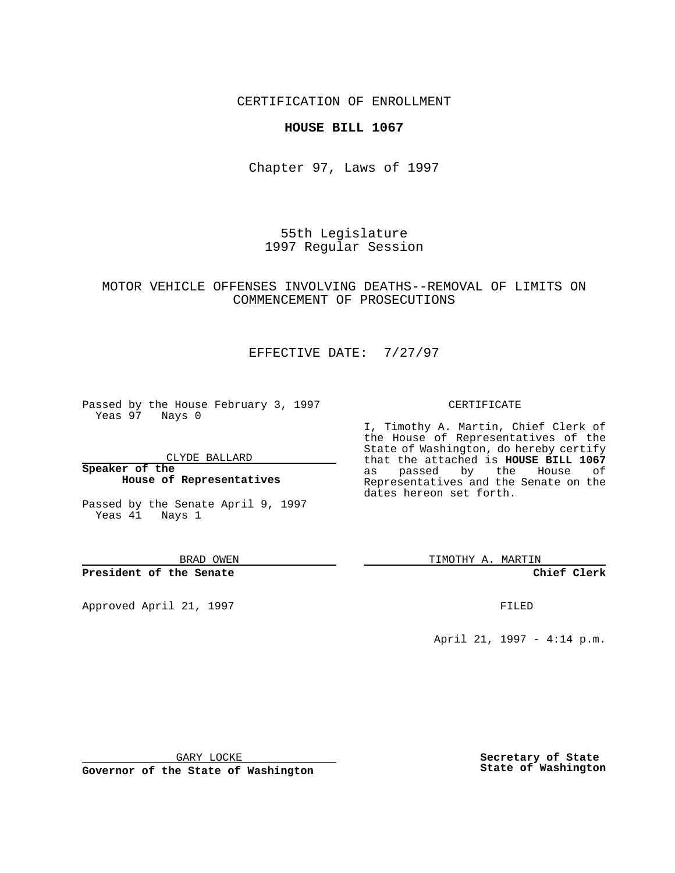### CERTIFICATION OF ENROLLMENT

#### **HOUSE BILL 1067**

Chapter 97, Laws of 1997

55th Legislature 1997 Regular Session

## MOTOR VEHICLE OFFENSES INVOLVING DEATHS--REMOVAL OF LIMITS ON COMMENCEMENT OF PROSECUTIONS

# EFFECTIVE DATE: 7/27/97

Passed by the House February 3, 1997 Yeas 97 Nays 0

CLYDE BALLARD

**Speaker of the House of Representatives**

Passed by the Senate April 9, 1997 Yeas 41 Nays 1

BRAD OWEN

**President of the Senate**

Approved April 21, 1997 **FILED** 

#### CERTIFICATE

I, Timothy A. Martin, Chief Clerk of the House of Representatives of the State of Washington, do hereby certify that the attached is **HOUSE BILL 1067** as passed by the House of Representatives and the Senate on the dates hereon set forth.

TIMOTHY A. MARTIN

**Chief Clerk**

April 21, 1997 - 4:14 p.m.

GARY LOCKE

**Governor of the State of Washington**

**Secretary of State State of Washington**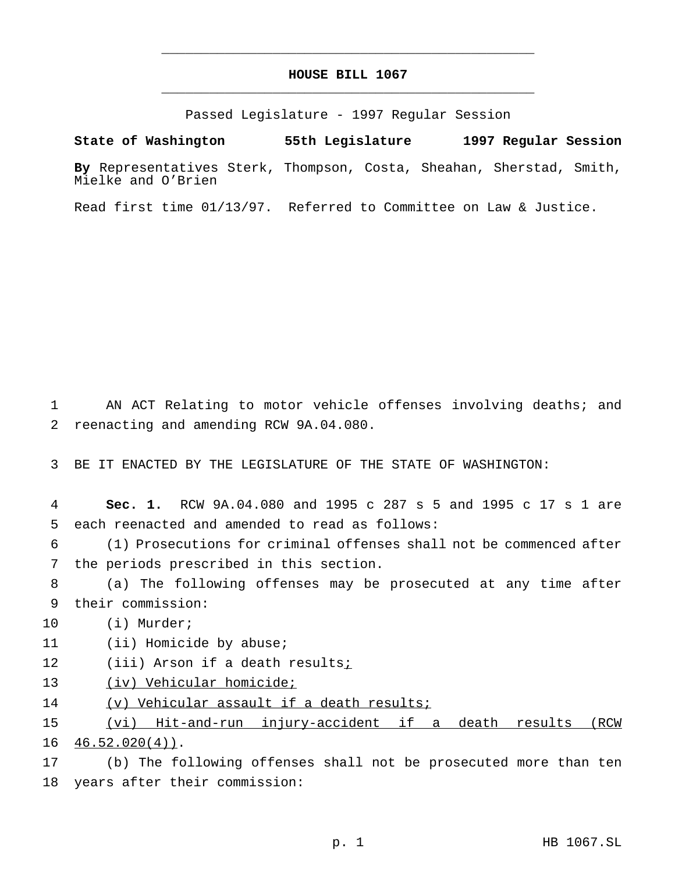# **HOUSE BILL 1067** \_\_\_\_\_\_\_\_\_\_\_\_\_\_\_\_\_\_\_\_\_\_\_\_\_\_\_\_\_\_\_\_\_\_\_\_\_\_\_\_\_\_\_\_\_\_\_

\_\_\_\_\_\_\_\_\_\_\_\_\_\_\_\_\_\_\_\_\_\_\_\_\_\_\_\_\_\_\_\_\_\_\_\_\_\_\_\_\_\_\_\_\_\_\_

Passed Legislature - 1997 Regular Session

**State of Washington 55th Legislature 1997 Regular Session**

**By** Representatives Sterk, Thompson, Costa, Sheahan, Sherstad, Smith, Mielke and O'Brien

Read first time 01/13/97. Referred to Committee on Law & Justice.

1 AN ACT Relating to motor vehicle offenses involving deaths; and 2 reenacting and amending RCW 9A.04.080.

3 BE IT ENACTED BY THE LEGISLATURE OF THE STATE OF WASHINGTON:

4 **Sec. 1.** RCW 9A.04.080 and 1995 c 287 s 5 and 1995 c 17 s 1 are 5 each reenacted and amended to read as follows:

6 (1) Prosecutions for criminal offenses shall not be commenced after 7 the periods prescribed in this section.

8 (a) The following offenses may be prosecuted at any time after 9 their commission:

10 (i) Murder;

11 (ii) Homicide by abuse;

12 (iii) Arson if a death results;

13 (iv) Vehicular homicide;

14 (v) Vehicular assault if a death results;

15 (vi) Hit-and-run injury-accident if a death results (RCW  $16 \quad 46.52.020(4)$ .

17 (b) The following offenses shall not be prosecuted more than ten 18 years after their commission: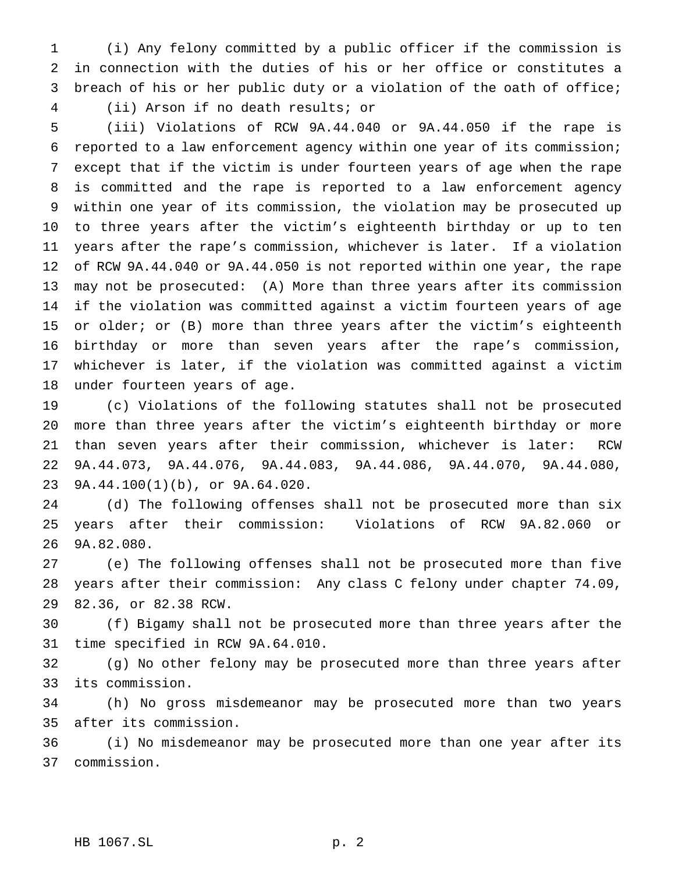(i) Any felony committed by a public officer if the commission is in connection with the duties of his or her office or constitutes a breach of his or her public duty or a violation of the oath of office; (ii) Arson if no death results; or

 (iii) Violations of RCW 9A.44.040 or 9A.44.050 if the rape is reported to a law enforcement agency within one year of its commission; except that if the victim is under fourteen years of age when the rape is committed and the rape is reported to a law enforcement agency within one year of its commission, the violation may be prosecuted up to three years after the victim's eighteenth birthday or up to ten years after the rape's commission, whichever is later. If a violation of RCW 9A.44.040 or 9A.44.050 is not reported within one year, the rape may not be prosecuted: (A) More than three years after its commission if the violation was committed against a victim fourteen years of age or older; or (B) more than three years after the victim's eighteenth birthday or more than seven years after the rape's commission, whichever is later, if the violation was committed against a victim under fourteen years of age.

 (c) Violations of the following statutes shall not be prosecuted more than three years after the victim's eighteenth birthday or more than seven years after their commission, whichever is later: RCW 9A.44.073, 9A.44.076, 9A.44.083, 9A.44.086, 9A.44.070, 9A.44.080, 9A.44.100(1)(b), or 9A.64.020.

 (d) The following offenses shall not be prosecuted more than six years after their commission: Violations of RCW 9A.82.060 or 9A.82.080.

 (e) The following offenses shall not be prosecuted more than five years after their commission: Any class C felony under chapter 74.09, 82.36, or 82.38 RCW.

 (f) Bigamy shall not be prosecuted more than three years after the time specified in RCW 9A.64.010.

 (g) No other felony may be prosecuted more than three years after its commission.

 (h) No gross misdemeanor may be prosecuted more than two years after its commission.

 (i) No misdemeanor may be prosecuted more than one year after its commission.